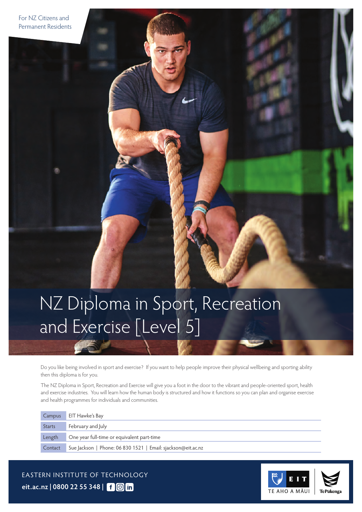# NZ Diploma in Sport, Recreation and Exercise [Level 5]

Do you like being involved in sport and exercise? If you want to help people improve their physical wellbeing and sporting ability then this diploma is for you.

The NZ Diploma in Sport, Recreation and Exercise will give you a foot in the door to the vibrant and people-oriented sport, health and exercise industries. You will learn how the human body is structured and how it functions so you can plan and organise exercise and health programmes for individuals and communities.

|               | Campus EIT Hawke's Bay                                       |
|---------------|--------------------------------------------------------------|
| <b>Starts</b> | February and July                                            |
| Length        | One year full-time or equivalent part-time                   |
| Contact       | Sue Jackson   Phone: 06 830 1521   Email: sjackson@eit.ac.nz |

EASTERN INSTITUTE OF TECHNOLOGY **[eit.ac.nz](https://www.eit.ac.nz) | 0800 22 55 348 |**

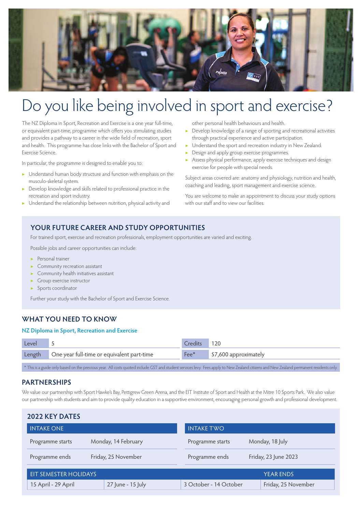

# Do you like being involved in sport and exercise?

The NZ Diploma in Sport, Recreation and Exercise is a one year full-time, or equivalent part-time, programme which offers you stimulating studies and provides a pathway to a career in the wide field of recreation, sport and health. This programme has close links with the Bachelor of Sport and Exercise Science.

In particular, the programme is designed to enable you to:

- ▶ Understand human body structure and function with emphasis on the musculo-skeletal system.
- ▶ Develop knowledge and skills related to professional practice in the recreation and sport industry.
- ▶ Understand the relationship between nutrition, physical activity and

other personal health behaviours and health.

- ▶ Develop knowledge of a range of sporting and recreational activities through practical experience and active participation.
- ▶ Understand the sport and recreation industry in New Zealand.
- **•** Design and apply group exercise programmes.
- ▶ Assess physical performance, apply exercise techniques and design exercise for people with special needs.

Subject areas covered are: anatomy and physiology, nutrition and health, coaching and leading, sport management and exercise science.

You are welcome to make an appointment to discuss your study options with our staff and to view our facilities.

## **YOUR FUTURE CAREER AND STUDY OPPORTUNITIES**

For trained sport, exercise and recreation professionals, employment opportunities are varied and exciting.

Possible jobs and career opportunities can include:

- ▶ Personal trainer
- Community recreation assistant
- Community health initiatives assistant
- Group exercise instructor
- ▶ Sports coordinator

Further your study with the Bachelor of Sport and Exercise Science.

## **WHAT YOU NEED TO KNOW**

### **NZ Diploma in Sport, Recreation and Exercise**

| Level |                                                   | Credits             | 120                   |
|-------|---------------------------------------------------|---------------------|-----------------------|
|       | Length One year full-time or equivalent part-time | $\mathsf{Fee}^\ast$ | \$7,600 approximately |
|       |                                                   |                     |                       |

\* This is a guide only based on the previous year. All costs quoted include GST and student services levy. Fees apply to New Zealand citizens and New Zealand permanent residents only.

### **PARTNERSHIPS**

We value our partnership with Sport Hawke's Bay, Pettigrew Green Arena, and the EIT Institute of Sport and Health at the Mitre 10 Sports Park. We also value our partnership with students and aim to provide quality education in a supportive environment, encouraging personal growth and professional development.

| <b>2022 KEY DATES</b>                 |                     |                        |                      |  |  |  |  |
|---------------------------------------|---------------------|------------------------|----------------------|--|--|--|--|
| <b>INTAKE ONE</b>                     |                     | <b>INTAKE TWO</b>      |                      |  |  |  |  |
| Programme starts                      | Monday, 14 February | Programme starts       | Monday, 18 July      |  |  |  |  |
| Friday, 25 November<br>Programme ends |                     | Programme ends         | Friday, 23 June 2023 |  |  |  |  |
| <b>EIT SEMESTER HOLIDAYS</b>          |                     |                        | <b>YEAR ENDS</b>     |  |  |  |  |
| 15 April - 29 April                   | 27 June - 15 July   | 3 October - 14 October | Friday, 25 November  |  |  |  |  |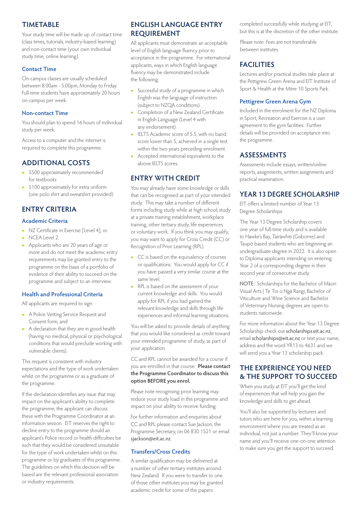## **TIMETABLE**

Your study time will be made up of contact time (class times, tutorials, industry-based learning) and non-contact time (your own individual study time, online learning).

### **Contact Time**

On-campus classes are usually scheduled between 8.00am - 5.00pm, Monday to Friday. Full-time students have approximately 20 hours on-campus per week.

### **Non-contact Time**

You should plan to spend 16 hours of individual study per week.

Access to a computer and the internet is required to complete this programme.

## **ADDITIONAL COSTS**

- ▶ \$500 approximately recommended for textbooks
- ▶ \$100 approximately for extra uniform (one polo shirt and sweatshirt provided)

# **ENTRY CRITERIA**

## **Academic Criteria**

- ▶ NZ Certificate in Exercise [Level 4]; or
- ▶ NCEA Level 2.
- ▶ Applicants who are 20 years of age or more and do not meet the academic entry requirements may be granted entry to the programme on the basis of a portfolio of evidence of their ability to succeed on the programme and subject to an interview.

### **Health and Professional Criteria**

All applicants are required to sign:

- ▶ A Police Vetting Service Request and Consent form; and
- ▶ A declaration that they are in good health (having no medical, physical or psychological conditions that would preclude working with vulnerable clients).

This request is consistent with industry expectations and the type of work undertaken whilst on the programme or as a graduate of the programme.

If the declaration identifies any issue that may impact on the applicant's ability to complete the programme, the applicant can discuss these with the Programme Coordinator at an information session. EIT reserves the right to decline entry to the programme should an applicant's Police record or health difficulties be such that they would be considered unsuitable for the type of work undertaken whilst on this programme or by graduates of this programme. The guidelines on which this decision will be based are the relevant professional association or industry requirements.

## **ENGLISH LANGUAGE ENTRY REQUIREMENT**

All applicants must demonstrate an acceptable level of English language fluency prior to acceptance in the programme. For international applicants, ways in which English language fluency may be demonstrated include the following:

- ▶ Successful study of a programme in which English was the language of instruction (subject to NZQA conditions).
- ▶ Completion of a New Zealand Certificate in English Language (Level 4 with any endorsement).
- ▶ IELTS Academic score of 5.5, with no band score lower than 5, achieved in a single test within the two years preceding enrolment.
- ▶ Accepted international equivalents to the above IELTS scores.

## **ENTRY WITH CREDIT**

You may already have some knowledge or skills that can be recognised as part of your intended study. This may take a number of different forms including study while at high school, study at a private training establishment, workplace training, other tertiary study, life experiences or voluntary work. If you think you may qualify, you may want to apply for Cross Credit (CC) or Recognition of Prior Learning (RPL).

- ▶ CC is based on the equivalency of courses or qualifications. You would apply for CC if you have passed a very similar course at the same level.
- ▶ RPL is based on the assessment of your current knowledge and skills. You would apply for RPL if you had gained the relevant knowledge and skills through life experiences and informal learning situations.

You will be asked to provide details of anything that you would like considered as credit toward your intended programme of study, as part of your application.

CC and RPL cannot be awarded for a course if you are enrolled in that course. **Please contact the Programme Coordinator to discuss this option BEFORE you enrol.**

Please note recognising prior learning may reduce your study load in this programme and impact on your ability to receive funding.

For further information and enquiries about CC and RPL please contact Sue Jackson, the Programme Secretary, on 06 830 1521 or email [sjackson@eit.ac.nz](mailto:sjackson%40eit.ac.nz?subject=).

### **Transfers/Cross Credits**

A similar qualification may be delivered at a number of other tertiary institutes around New Zealand. If you were to transfer to one of those other institutes you may be granted academic credit for some of the papers

completed successfully while studying at EIT, but this is at the discretion of the other institute.

Please note: Fees are not transferable between institutes.

# **FACILITIES**

Lectures and/or practical studies take place at the Pettigrew Green Arena and EIT Institute of Sport & Health at the Mitre 10 Sports Park.

### **Pettigrew Green Arena Gym**

Included in the enrolment for the NZ Diploma in Sport, Recreation and Exercise is a user agreement to the gym facilities. Further details will be provided on acceptance into the programme.

## **ASSESSMENTS**

Assessments include essays, written/online reports, assignments, written assignments and practical examination.

### **YEAR 13 DEGREE SCHOLARSHIP**

EIT offers a limited number of Year 13 Degree Scholarships.

The Year 13 Degree Scholarship covers one year of full-time study and is available to Hawke's Bay, Tairāwhiti (Gisborne) and Taupō based students who are beginning an undergraduate degree in 2022. It is also open to Diploma applicants intending on entering Year 2 of a corresponding degree in their second year of consecutive study.

NOTE: Scholarships for the Bachelor of Māori Visual Arts | Te Toi o Ngā Rangi, Bachelor of Viticulture and Wine Science and Bachelor of Veterinary Nursing degrees are open to students nationwide.

For more information about the Year 13 Degree Scholarship check out [scholarships.eit.ac.nz](https://scholarships.eit.ac.nz), email [scholarships@eit.ac.nz](mailto:scholarships%40eit.ac.nz?subject=) or text your name, address and the word YR13 to 4631 and we will send you a Year 13 scholarship pack.

# **THE EXPERIENCE YOU NEED & THE SUPPORT TO SUCCEED**

When you study at EIT you'll get the kind of experiences that will help you gain the knowledge and skills to get ahead.

You'll also be supported by lecturers and tutors who are here for you, within a learning environment where you are treated as an individual, not just a number. They'll know your name and you'll receive one-on-one attention to make sure you get the support to succeed.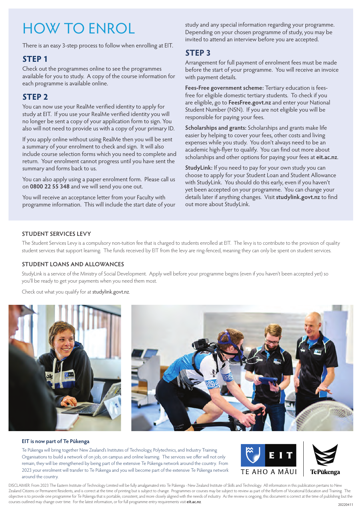# HOW TO ENROL

There is an easy 3-step process to follow when enrolling at EIT.

# **STEP 1**

Check out the programmes online to see the programmes available for you to study. A copy of the course information for each programme is available online.

# **STEP 2**

You can now use your RealMe verified identity to apply for study at EIT. If you use your RealMe verified identity you will no longer be sent a copy of your application form to sign. You also will not need to provide us with a copy of your primary ID.

If you apply online without using RealMe then you will be sent a summary of your enrolment to check and sign. It will also include course selection forms which you need to complete and return. Your enrolment cannot progress until you have sent the summary and forms back to us.

You can also apply using a paper enrolment form. Please call us on **0800 22 55 348** and we will send you one out.

You will receive an acceptance letter from your Faculty with programme information. This will include the start date of your study and any special information regarding your programme. Depending on your chosen programme of study, you may be invited to attend an interview before you are accepted.

# **STEP 3**

Arrangement for full payment of enrolment fees must be made before the start of your programme. You will receive an invoice with payment details.

**Fees-Free government scheme:** Tertiary education is feesfree for eligible domestic tertiary students. To check if you are eligible, go to **[FeesFree.govt.nz](http://FeesFree.govt.nz)** and enter your National Student Number (NSN). If you are not eligible you will be responsible for paying your fees.

**Scholarships and grants:** Scholarships and grants make life easier by helping to cover your fees, other costs and living expenses while you study. You don't always need to be an academic high-flyer to qualify. You can find out more about scholarships and other options for paying your fees at **[eit.ac.nz](https://www.eit.ac.nz/students/scholarships-2/)**.

**StudyLink:** If you need to pay for your own study you can choose to apply for your Student Loan and Student Allowance with StudyLink. You should do this early, even if you haven't yet been accepted on your programme. You can change your details later if anything changes. Visit **[studylink.govt.nz](http://studylink.govt.nz)** to find out more about StudyLink.

### **STUDENT SERVICES LEVY**

The Student Services Levy is a compulsory non-tuition fee that is charged to students enrolled at EIT. The levy is to contribute to the provision of quality student services that support learning. The funds received by EIT from the levy are ring-fenced, meaning they can only be spent on student services.

### **STUDENT LOANS AND ALLOWANCES**

StudyLink is a service of the Ministry of Social Development. Apply well before your programme begins (even if you haven't been accepted yet) so you'll be ready to get your payments when you need them most.

Check out what you qualify for at [studylink.govt.nz](http://studylink.govt.nz).



### **EIT is now part of Te Pūkenga**

Te Pūkenga will bring together New Zealand's Institutes of Technology, Polytechnics, and Industry Training Organisations to build a network of on job, on campus and online learning. The services we offer will not only remain, they will be strengthened by being part of the extensive Te Pūkenga network around the country. From 2023 your enrolment will transfer to Te Pūkenga and you will become part of the extensive Te Pūkenga network around the country.



DISCLAIMER: From 2023 The Eastern Institute of Technology Limited will be fully amalgamated into Te Pūkenga - New Zealand Institute of Skills and Technology. All information in this publication pertains to New Zealand Citizens or Permanent Residents, and is correct at the time of printing but is subject to change. Programmes or courses may be subject to review as part of the Reform of Vocational Education and Training. The objective is to provide one programme for Te Pūkenga that is portable, consistent, and more closely aligned with the needs of industry. As the review is ongoing, this document is correct at the time of publishing but the courses outlined may change over time. For the latest information, or for full programme entry requirements visit **[eit.ac.nz](https://www.eit.ac.nz)**. 20220411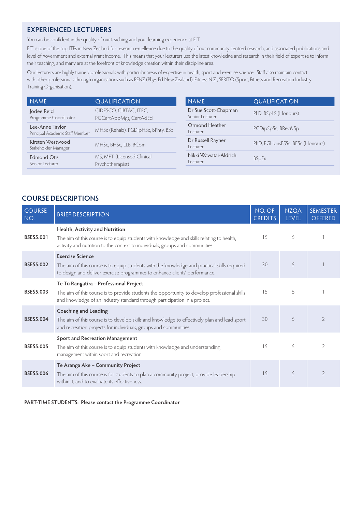## **EXPERIENCED LECTURERS**

You can be confident in the quality of our teaching and your learning experience at EIT.

EIT is one of the top ITPs in New Zealand for research excellence due to the quality of our community centred research, and associated publications and level of government and external grant income. This means that your lecturers use the latest knowledge and research in their field of expertise to inform their teaching, and many are at the forefront of knowledge creation within their discipline area.

Our lecturers are highly trained professionals with particular areas of expertise in health, sport and exercise science. Staff also maintain contact with other professionals through organisations such as PENZ (Phys-Ed New Zealand), Fitness N.Z., SFRITO (Sport, Fitness and Recreation Industry Training Organisation).

| <b>NAME</b>                                        | <b>QUALIFICATION</b>                             | <b>NAME</b>                             | QUALIFICATION                   |
|----------------------------------------------------|--------------------------------------------------|-----------------------------------------|---------------------------------|
| Jodee Reid<br>Programme Coordinator                | CIDESCO, CIBTAC, ITEC,<br>PGCertAppMgt, CertAdEd | Dr Sue Scott-Chapman<br>Senior Lecturer | PLD, BSpLS (Honours)            |
| Lee-Anne Taylor<br>Principal Academic Staff Member | MHSc (Rehab), PGDipHSc, BPhty, BSc               | Ormond Heather<br>Lecturer              | PGDipSpSc, BRec&Sp              |
| Kirsten Westwood<br>Stakeholder Manager            | MHSc, BHSc, LLB, BCom                            | Dr Russell Rayner<br>l ecturer          | PhD, PGHonsESSc, BESc (Honours) |
| <b>Edmond Otis</b><br>Senior Lecturer              | MS, MFT (Licensed Clinical<br>Psychotherapist)   | Nikki Wawatai-Aldrich<br>Lecturer       | <b>BSpEx</b>                    |

# **COURSE DESCRIPTIONS**

| <b>COURSE</b><br>NO. | <b>BRIEF DESCRIPTION</b>                                                                                                                                                                                            | NO. OF<br><b>CREDITS</b> | <b>NZQA</b><br><b>LEVEL</b> | <b>SEMESTER</b><br><b>OFFERED</b> |
|----------------------|---------------------------------------------------------------------------------------------------------------------------------------------------------------------------------------------------------------------|--------------------------|-----------------------------|-----------------------------------|
| <b>BSES5.001</b>     | Health, Activity and Nutrition<br>The aim of this course is to equip students with knowledge and skills relating to health,<br>activity and nutrition to the context to individuals, groups and communities.        | 15                       | 5                           |                                   |
| <b>BSES5.002</b>     | <b>Exercise Science</b><br>The aim of this course is to equip students with the knowledge and practical skills required<br>to design and deliver exercise programmes to enhance clients' performance.               | 30                       | 5                           |                                   |
| <b>BSES5.003</b>     | Te Tū Rangatira - Professional Project<br>The aim of this course is to provide students the opportunity to develop professional skills<br>and knowledge of an industry standard through participation in a project. | 15                       | 5                           |                                   |
| <b>BSES5.004</b>     | <b>Coaching and Leading</b><br>The aim of this course is to develop skills and knowledge to effectively plan and lead sport<br>and recreation projects for individuals, groups and communities.                     | 30                       | 5                           | $\mathcal{D}$                     |
| <b>BSES5.005</b>     | Sport and Recreation Management<br>The aim of this course is to equip students with knowledge and understanding<br>management within sport and recreation.                                                          | 15                       | 5                           | $\overline{2}$                    |
| <b>BSES5.006</b>     | Te Aranga Ake - Community Project<br>The aim of this course is for students to plan a community project, provide leadership<br>within it, and to evaluate its effectiveness.                                        | 15                       | 5                           | $\overline{2}$                    |

**PART-TIME STUDENTS: Please contact the Programme Coordinator**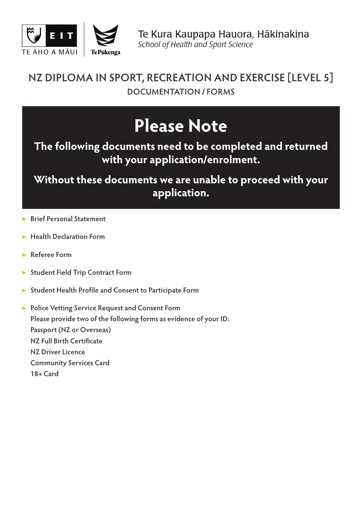



Te Kura Kaupapa Hauora, Hākinakina *School of Health and Sport Science*

# **NZ DIPLOMA IN SPORT, RECREATION AND EXERCISE [LEVEL 5] DOCUMENTATION / FORMS**

# **Please Note**

**The following documents need to be completed and returned with your application/enrolment.**

**Without these documents we are unable to proceed with your application.**

- ▶ **Brief Personal Statement**
- ▶ **Health Declaration Form**
- ▶ **Referee Form**
- ▶ **Student Field Trip Contract Form**
- ▶ **Student Health Profile and Consent to Participate Form**

▶ **Police Vetting Service Request and Consent Form Please provide two of the following forms as evidence of your ID: Passport (NZ or Overseas) NZ Full Birth Certificate NZ Driver Licence Community Services Card 18+ Card**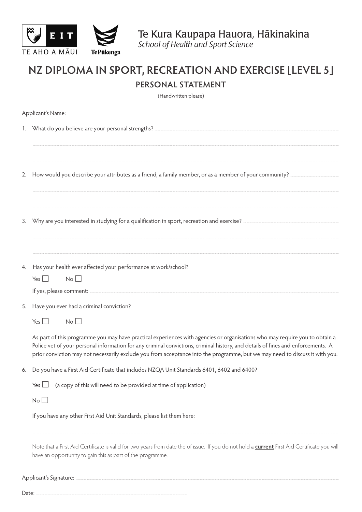

# NZ DIPLOMA IN SPORT, RECREATION AND EXERCISE [LEVEL 5] PERSONAL STATEMENT

(Handwritten please)

|       | Applicant's Name: 2008 and 2008 and 2008 and 2008 and 2018 and 2018 and 2018 and 2018 and 2018 and 2018 and 20                                                                                                                                                                                                                                                                                  |
|-------|-------------------------------------------------------------------------------------------------------------------------------------------------------------------------------------------------------------------------------------------------------------------------------------------------------------------------------------------------------------------------------------------------|
|       |                                                                                                                                                                                                                                                                                                                                                                                                 |
|       |                                                                                                                                                                                                                                                                                                                                                                                                 |
| 2.    | How would you describe your attributes as a friend, a family member, or as a member of your community?                                                                                                                                                                                                                                                                                          |
|       |                                                                                                                                                                                                                                                                                                                                                                                                 |
| 3.    | Why are you interested in studying for a qualification in sport, recreation and exercise?                                                                                                                                                                                                                                                                                                       |
|       |                                                                                                                                                                                                                                                                                                                                                                                                 |
| 4.    | Has your health ever affected your performance at work/school?                                                                                                                                                                                                                                                                                                                                  |
|       | No<br>Yes $\Box$                                                                                                                                                                                                                                                                                                                                                                                |
|       |                                                                                                                                                                                                                                                                                                                                                                                                 |
| 5.    | Have you ever had a criminal conviction?                                                                                                                                                                                                                                                                                                                                                        |
|       | No<br>Yes $\Box$                                                                                                                                                                                                                                                                                                                                                                                |
|       | As part of this programme you may have practical experiences with agencies or organisations who may require you to obtain a<br>Police vet of your personal information for any criminal convictions, criminal history, and details of fines and enforcements. A<br>prior conviction may not necessarily exclude you from acceptance into the programme, but we may need to discuss it with you. |
| 6.    | Do you have a First Aid Certificate that includes NZQA Unit Standards 6401, 6402 and 6400?                                                                                                                                                                                                                                                                                                      |
|       | (a copy of this will need to be provided at time of application)<br>Yes $\Box$                                                                                                                                                                                                                                                                                                                  |
|       | $No$ $\Box$                                                                                                                                                                                                                                                                                                                                                                                     |
|       | If you have any other First Aid Unit Standards, please list them here:                                                                                                                                                                                                                                                                                                                          |
|       | Note that a First Aid Certificate is valid for two years from date the of issue. If you do not hold a <b>current</b> First Aid Certificate you wil<br>have an opportunity to gain this as part of the programme.                                                                                                                                                                                |
|       | Applicant's Signature: 2008 2009 2010 2020 2021 2021 2022 2023 2024 2022 2023 2024 2022 2023 2024 2022 2023 20                                                                                                                                                                                                                                                                                  |
| Date: |                                                                                                                                                                                                                                                                                                                                                                                                 |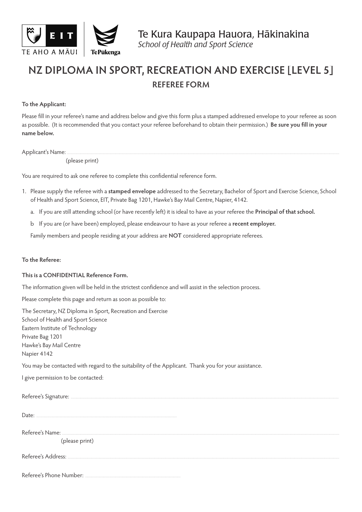

# **NZ DIPLOMA IN SPORT, RECREATION AND EXERCISE [LEVEL 5] REFEREE FORM**

### **To the Applicant:**

Please fill in your referee's name and address below and give this form plus a stamped addressed envelope to your referee as soon as possible. (It is recommended that you contact your referee beforehand to obtain their permission.) **Be sure you fill in your name below.**

Applicant's Name:

(please print)

You are required to ask one referee to complete this confidential reference form.

- 1. Please supply the referee with a **stamped envelope** addressed to the Secretary, Bachelor of Sport and Exercise Science, School of Health and Sport Science, EIT, Private Bag 1201, Hawke's Bay Mail Centre, Napier, 4142.
	- a. If you are still attending school (or have recently left) it is ideal to have as your referee the **Principal of that school.**
	- b If you are (or have been) employed, please endeavour to have as your referee a **recent employer.**

Family members and people residing at your address are **NOT** considered appropriate referees.

### **To the Referee:**

### **This is a CONFIDENTIAL Reference Form.**

The information given will be held in the strictest confidence and will assist in the selection process.

Please complete this page and return as soon as possible to:

The Secretary, NZ Diploma in Sport, Recreation and Exercise School of Health and Sport Science Eastern Institute of Technology Private Bag 1201 Hawke's Bay Mail Centre Napier 4142

You may be contacted with regard to the suitability of the Applicant. Thank you for your assistance.

I give permission to be contacted:

| (please print) |
|----------------|
|                |
|                |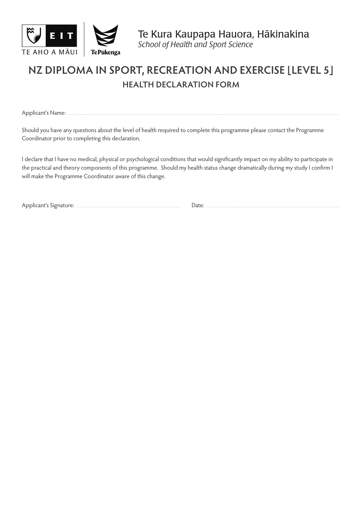

Te Kura Kaupapa Hauora, Hākinakina *School of Health and Sport Science*

# **NZ DIPLOMA IN SPORT, RECREATION AND EXERCISE [LEVEL 5] HEALTH DECLARATION FORM**

Applicant's Name:

Should you have any questions about the level of health required to complete this programme please contact the Programme Coordinator prior to completing this declaration.

I declare that I have no medical, physical or psychological conditions that would significantly impact on my ability to participate in the practical and theory components of this programme. Should my health status change dramatically during my study I confirm I will make the Programme Coordinator aware of this change.

Applicant's Signature: <u>Contained Barbon Date: Date: Date: Date: Description of the Second Barbon Date:</u>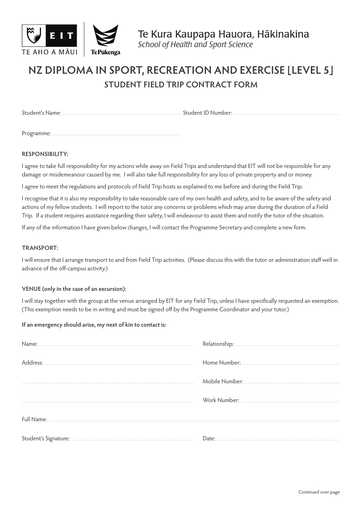



# **NZ DIPLOMA IN SPORT, RECREATION AND EXERCISE [LEVEL 5] STUDENT FIELD TRIP CONTRACT FORM**

Student's Name: Student ID Number:

Programme:

### **RESPONSIBILITY:**

I agree to take full responsibility for my actions while away on Field Trips and understand that EIT will not be responsible for any damage or misdemeanour caused by me. I will also take full responsibility for any loss of private property and or money.

I agree to meet the regulations and protocols of Field Trip hosts as explained to me before and during the Field Trip.

I recognise that it is also my responsibility to take reasonable care of my own health and safety, and to be aware of the safety and actions of my fellow students. I will report to the tutor any concerns or problems which may arise during the duration of a Field Trip. If a student requires assistance regarding their safety, I will endeavour to assist them and notify the tutor of the situation.

If any of the information I have given below changes, I will contact the Programme Secretary and complete a new form.

### **TRANSPORT:**

I will ensure that I arrange transport to and from Field Trip activities. (Please discuss this with the tutor or administration staff well in advance of the off-campus activity.)

### **VENUE (only in the case of an excursion):**

I will stay together with the group at the venue arranged by EIT for any Field Trip, unless I have specifically requested an exemption. (This exemption needs to be in writing and must be signed off by the Programme Coordinator and your tutor.)

### **If an emergency should arise, my next of kin to contact is:**

| Full Name: <u>Alexander Alexander Alexander Alexander Alexander Alexander Alexander Alexander Alexander Alexander</u> |  |
|-----------------------------------------------------------------------------------------------------------------------|--|
|                                                                                                                       |  |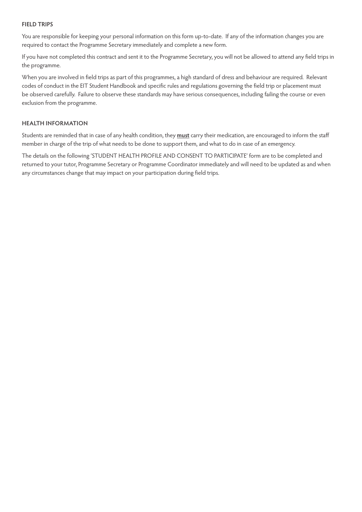### **FIELD TRIPS**

You are responsible for keeping your personal information on this form up-to-date. If any of the information changes you are required to contact the Programme Secretary immediately and complete a new form.

If you have not completed this contract and sent it to the Programme Secretary, you will not be allowed to attend any field trips in the programme.

When you are involved in field trips as part of this programmes, a high standard of dress and behaviour are required. Relevant codes of conduct in the EIT Student Handbook and specific rules and regulations governing the field trip or placement must be observed carefully. Failure to observe these standards may have serious consequences, including failing the course or even exclusion from the programme.

### **HEALTH INFORMATION**

Students are reminded that in case of any health condition, they **must** carry their medication, are encouraged to inform the staff member in charge of the trip of what needs to be done to support them, and what to do in case of an emergency.

The details on the following 'STUDENT HEALTH PROFILE AND CONSENT TO PARTICIPATE' form are to be completed and returned to your tutor, Programme Secretary or Programme Coordinator immediately and will need to be updated as and when any circumstances change that may impact on your participation during field trips.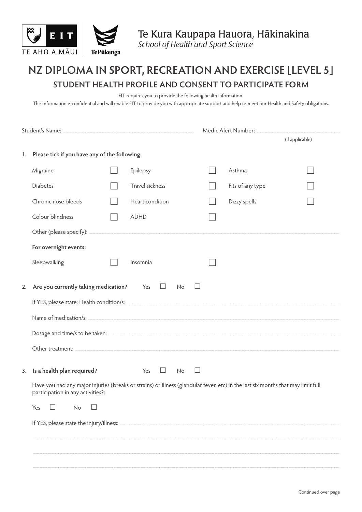

# NZ DIPLOMA IN SPORT, RECREATION AND EXERCISE [LEVEL 5] STUDENT HEALTH PROFILE AND CONSENT TO PARTICIPATE FORM

EIT requires you to provide the following health information.

This information is confidential and will enable EIT to provide you with appropriate support and help us meet our Health and Safety obligations.

|    |                                                                                                                                  |  | Medic Alert Number: Manual Medic Alert Number: |  |                  |                 |
|----|----------------------------------------------------------------------------------------------------------------------------------|--|------------------------------------------------|--|------------------|-----------------|
|    |                                                                                                                                  |  |                                                |  |                  | (if applicable) |
|    | 1. Please tick if you have any of the following:                                                                                 |  |                                                |  |                  |                 |
|    | Migraine                                                                                                                         |  | Epilepsy                                       |  | Asthma           |                 |
|    | <b>Diabetes</b>                                                                                                                  |  | Travel sickness                                |  | Fits of any type |                 |
|    | Chronic nose bleeds                                                                                                              |  | Heart condition                                |  | Dizzy spells     |                 |
|    | Colour blindness                                                                                                                 |  | <b>ADHD</b>                                    |  |                  |                 |
|    |                                                                                                                                  |  |                                                |  |                  |                 |
|    | For overnight events:                                                                                                            |  |                                                |  |                  |                 |
|    | Sleepwalking                                                                                                                     |  | Insomnia                                       |  |                  |                 |
|    |                                                                                                                                  |  |                                                |  |                  |                 |
| 2. | Are you currently taking medication? Yes                                                                                         |  | $\Box$<br>$\Box$<br>No                         |  |                  |                 |
|    |                                                                                                                                  |  |                                                |  |                  |                 |
|    |                                                                                                                                  |  |                                                |  |                  |                 |
|    |                                                                                                                                  |  |                                                |  |                  |                 |
|    |                                                                                                                                  |  |                                                |  |                  |                 |
| 3. | Is a health plan required?                                                                                                       |  | Yes<br>$\Box$<br>No                            |  |                  |                 |
|    | Have you had any major injuries (breaks or strains) or illness (glandular fever, etc) in the last six months that may limit full |  |                                                |  |                  |                 |
|    | participation in any activities?:                                                                                                |  |                                                |  |                  |                 |
|    | Yes<br>No                                                                                                                        |  |                                                |  |                  |                 |
|    |                                                                                                                                  |  |                                                |  |                  |                 |
|    |                                                                                                                                  |  |                                                |  |                  |                 |
|    |                                                                                                                                  |  |                                                |  |                  |                 |
|    |                                                                                                                                  |  |                                                |  |                  |                 |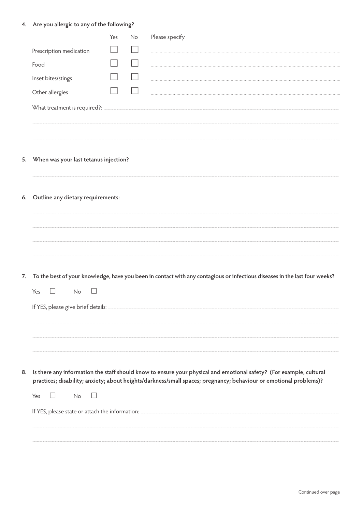# 4. Are you allergic to any of the following?

|    |                                       | Yes | No | Please specify                                                                                                                                                                                                                           |  |  |  |
|----|---------------------------------------|-----|----|------------------------------------------------------------------------------------------------------------------------------------------------------------------------------------------------------------------------------------------|--|--|--|
|    | Prescription medication               |     |    |                                                                                                                                                                                                                                          |  |  |  |
|    | Food                                  |     |    |                                                                                                                                                                                                                                          |  |  |  |
|    | Inset bites/stings                    |     |    |                                                                                                                                                                                                                                          |  |  |  |
|    | Other allergies                       |     |    |                                                                                                                                                                                                                                          |  |  |  |
|    | What treatment is required?:          |     |    |                                                                                                                                                                                                                                          |  |  |  |
| 5. | When was your last tetanus injection? |     |    |                                                                                                                                                                                                                                          |  |  |  |
| 6. | Outline any dietary requirements:     |     |    |                                                                                                                                                                                                                                          |  |  |  |
|    |                                       |     |    | 7. To the best of your knowledge, have you been in contact with any contagious or infectious diseases in the last four weeks?                                                                                                            |  |  |  |
|    | Yes<br>No                             |     |    |                                                                                                                                                                                                                                          |  |  |  |
|    |                                       |     |    |                                                                                                                                                                                                                                          |  |  |  |
| 8. |                                       |     |    | Is there any information the staff should know to ensure your physical and emotional safety? (For example, cultural<br>practices; disability; anxiety; about heights/darkness/small spaces; pregnancy; behaviour or emotional problems)? |  |  |  |
|    | Yes<br>No                             |     |    |                                                                                                                                                                                                                                          |  |  |  |
|    |                                       |     |    |                                                                                                                                                                                                                                          |  |  |  |
|    |                                       |     |    |                                                                                                                                                                                                                                          |  |  |  |
|    |                                       |     |    |                                                                                                                                                                                                                                          |  |  |  |
|    |                                       |     |    |                                                                                                                                                                                                                                          |  |  |  |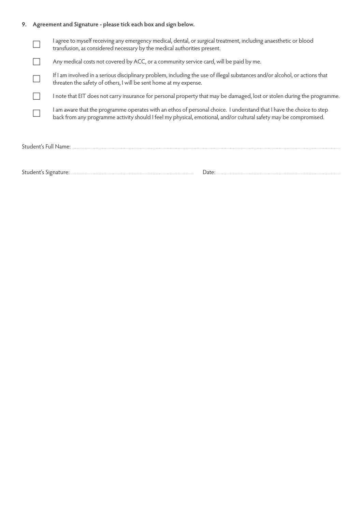# **9. Agreement and Signature - please tick each box and sign below.**

|  | I agree to myself receiving any emergency medical, dental, or surgical treatment, including anaesthetic or blood<br>transfusion, as considered necessary by the medical authorities present.                                              |
|--|-------------------------------------------------------------------------------------------------------------------------------------------------------------------------------------------------------------------------------------------|
|  | Any medical costs not covered by ACC, or a community service card, will be paid by me.                                                                                                                                                    |
|  | If I am involved in a serious disciplinary problem, including the use of illegal substances and/or alcohol, or actions that<br>threaten the safety of others, I will be sent home at my expense.                                          |
|  | I note that EIT does not carry insurance for personal property that may be damaged, lost or stolen during the programme.                                                                                                                  |
|  | I am aware that the programme operates with an ethos of personal choice. I understand that I have the choice to step<br>back from any programme activity should I feel my physical, emotional, and/or cultural safety may be compromised. |
|  | Student's Full Name: .                                                                                                                                                                                                                    |
|  |                                                                                                                                                                                                                                           |

Student's Signature: 2008 2009 2010 2020 2031 2040: 2040: 2040: 2040: 2040: 2040: 2040: 2040: 2040: 2040: 2040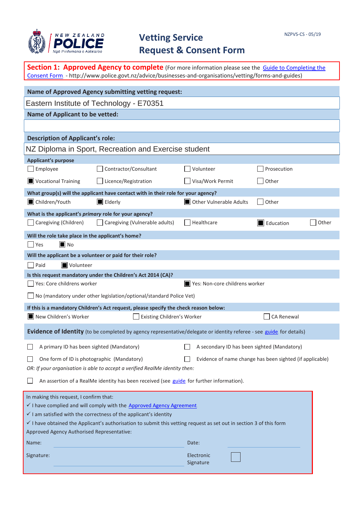

# **Vetting Service Request & Consent Form**

| <b>Section 1: Approved Agency to complete</b> (For more information please see the Guide to Completing the<br>Consent Form - http://www.police.govt.nz/advice/businesses-and-organisations/vetting/forms-and-guides) |                                                                                                                                |                                                          |             |       |  |  |  |  |
|----------------------------------------------------------------------------------------------------------------------------------------------------------------------------------------------------------------------|--------------------------------------------------------------------------------------------------------------------------------|----------------------------------------------------------|-------------|-------|--|--|--|--|
|                                                                                                                                                                                                                      | <b>Name of Approved Agency submitting vetting request:</b>                                                                     |                                                          |             |       |  |  |  |  |
|                                                                                                                                                                                                                      | Eastern Institute of Technology - E70351                                                                                       |                                                          |             |       |  |  |  |  |
| <b>Name of Applicant to be vetted:</b>                                                                                                                                                                               |                                                                                                                                |                                                          |             |       |  |  |  |  |
|                                                                                                                                                                                                                      |                                                                                                                                |                                                          |             |       |  |  |  |  |
| <b>Description of Applicant's role:</b>                                                                                                                                                                              |                                                                                                                                |                                                          |             |       |  |  |  |  |
|                                                                                                                                                                                                                      | NZ Diploma in Sport, Recreation and Exercise student                                                                           |                                                          |             |       |  |  |  |  |
| <b>Applicant's purpose</b>                                                                                                                                                                                           |                                                                                                                                |                                                          |             |       |  |  |  |  |
| Employee                                                                                                                                                                                                             | Contractor/Consultant                                                                                                          | Volunteer                                                | Prosecution |       |  |  |  |  |
| Vocational Training                                                                                                                                                                                                  | Licence/Registration                                                                                                           | Visa/Work Permit                                         | Other       |       |  |  |  |  |
|                                                                                                                                                                                                                      | What group(s) will the applicant have contact with in their role for your agency?                                              |                                                          |             |       |  |  |  |  |
| Children/Youth                                                                                                                                                                                                       | $\blacksquare$ Elderly                                                                                                         | Other Vulnerable Adults                                  | Other       |       |  |  |  |  |
| What is the applicant's primary role for your agency?                                                                                                                                                                |                                                                                                                                |                                                          |             |       |  |  |  |  |
| Caregiving (Children)                                                                                                                                                                                                | Caregiving (Vulnerable adults)                                                                                                 | Healthcare                                               | Education   | Other |  |  |  |  |
| Will the role take place in the applicant's home?                                                                                                                                                                    |                                                                                                                                |                                                          |             |       |  |  |  |  |
| Yes<br>$\blacksquare$ No                                                                                                                                                                                             |                                                                                                                                |                                                          |             |       |  |  |  |  |
| Will the applicant be a volunteer or paid for their role?                                                                                                                                                            |                                                                                                                                |                                                          |             |       |  |  |  |  |
| Paid<br>Volunteer                                                                                                                                                                                                    |                                                                                                                                |                                                          |             |       |  |  |  |  |
|                                                                                                                                                                                                                      | Is this request mandatory under the Children's Act 2014 (CA)?                                                                  |                                                          |             |       |  |  |  |  |
| Yes: Core childrens worker                                                                                                                                                                                           |                                                                                                                                | Yes: Non-core childrens worker                           |             |       |  |  |  |  |
|                                                                                                                                                                                                                      | $\Box$ No (mandatory under other legislation/optional/standard Police Vet)                                                     |                                                          |             |       |  |  |  |  |
|                                                                                                                                                                                                                      | If this is a mandatory Children's Act request, please specify the check reason below:                                          |                                                          |             |       |  |  |  |  |
| New Children's Worker                                                                                                                                                                                                | Existing Children's Worker                                                                                                     |                                                          | CA Renewal  |       |  |  |  |  |
|                                                                                                                                                                                                                      | Evidence of Identity (to be completed by agency representative/delegate or identity referee - see guide for details)           |                                                          |             |       |  |  |  |  |
| A primary ID has been sighted (Mandatory)                                                                                                                                                                            |                                                                                                                                | A secondary ID has been sighted (Mandatory)              |             |       |  |  |  |  |
| One form of ID is photographic (Mandatory)                                                                                                                                                                           |                                                                                                                                | Evidence of name change has been sighted (if applicable) |             |       |  |  |  |  |
|                                                                                                                                                                                                                      | OR: If your organisation is able to accept a verified RealMe identity then:                                                    |                                                          |             |       |  |  |  |  |
|                                                                                                                                                                                                                      | An assertion of a RealMe identity has been received (see guide for further information).                                       |                                                          |             |       |  |  |  |  |
| In making this request, I confirm that:                                                                                                                                                                              |                                                                                                                                |                                                          |             |       |  |  |  |  |
|                                                                                                                                                                                                                      | I have complied and will comply with the Approved Agency Agreement.                                                            |                                                          |             |       |  |  |  |  |
|                                                                                                                                                                                                                      | $\checkmark$ I am satisfied with the correctness of the applicant's identity                                                   |                                                          |             |       |  |  |  |  |
|                                                                                                                                                                                                                      | $\checkmark$ I have obtained the Applicant's authorisation to submit this vetting request as set out in section 3 of this form |                                                          |             |       |  |  |  |  |
| Approved Agency Authorised Representative:                                                                                                                                                                           |                                                                                                                                |                                                          |             |       |  |  |  |  |
| Name:                                                                                                                                                                                                                |                                                                                                                                | Date:                                                    |             |       |  |  |  |  |
| Signature:                                                                                                                                                                                                           |                                                                                                                                | Electronic<br>Signature                                  |             |       |  |  |  |  |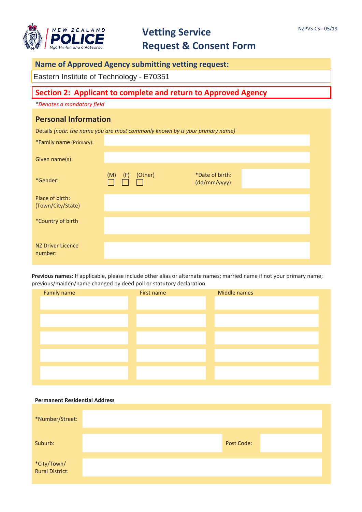

# **Vetting Service Request & Consent Form**

# **Name of Approved Agency submitting vetting request:**

Eastern Institute of Technology - E70351

# **Section 2: Applicant to complete and return to Approved Agency**

*\*Denotes a mandatory field*

## **Personal Information**

Details *(note: the name you are most commonly known by is your primary name)*

| *Family name (Primary):              |            |         |                                 |  |
|--------------------------------------|------------|---------|---------------------------------|--|
| Given name(s):                       |            |         |                                 |  |
| *Gender:                             | (F)<br>(M) | (Other) | *Date of birth:<br>(dd/mm/yyyy) |  |
| Place of birth:<br>(Town/City/State) |            |         |                                 |  |
| *Country of birth                    |            |         |                                 |  |
| <b>NZ Driver Licence</b><br>number:  |            |         |                                 |  |

**Previous names**: If applicable, please include other alias or alternate names; married name if not your primary name; previous/maiden/name changed by deed poll or statutory declaration.

| Family name | First name | Middle names |
|-------------|------------|--------------|
|             |            |              |
|             |            |              |
|             |            |              |
|             |            |              |
|             |            |              |
|             |            |              |
|             |            |              |
|             |            |              |
|             |            |              |
|             |            |              |

#### **Permanent Residential Address**

| *Number/Street:                |                   |  |
|--------------------------------|-------------------|--|
| Suburb:                        | <b>Post Code:</b> |  |
| *City/Town/<br>Rural District: |                   |  |